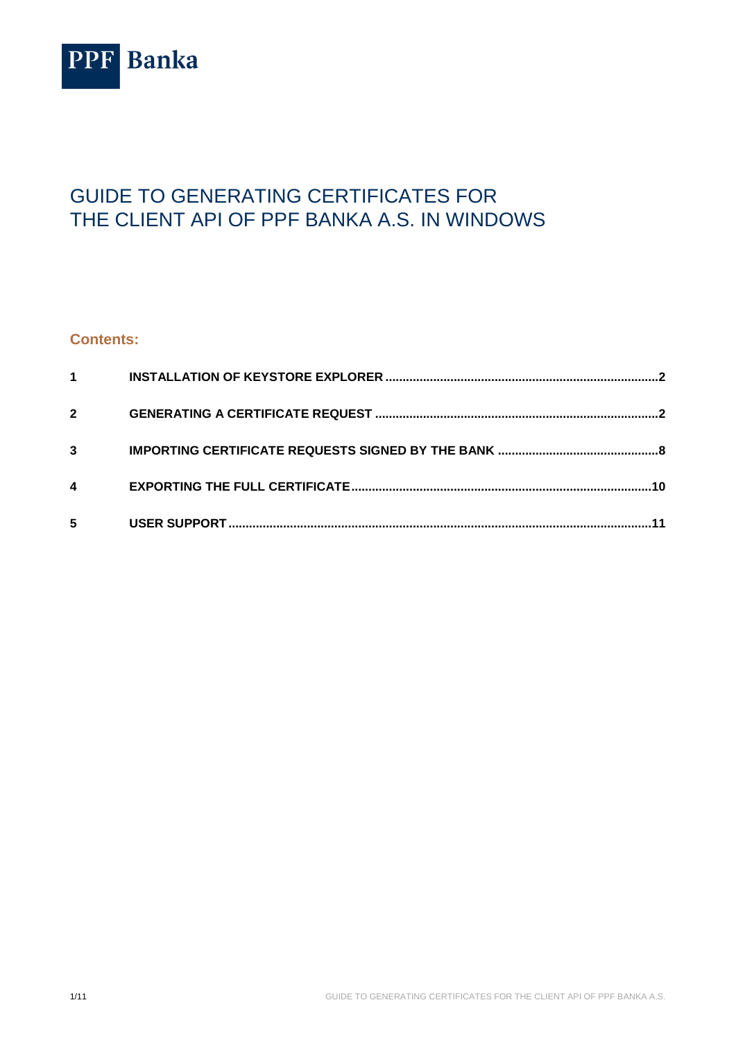

# GUIDE TO GENERATING CERTIFICATES FOR THE CLIENT API OF PPF BANKA A.S. IN WINDOWS

### **Contents:**

| 1            |  |
|--------------|--|
| $\mathbf{2}$ |  |
| 3            |  |
| 4            |  |
| 5            |  |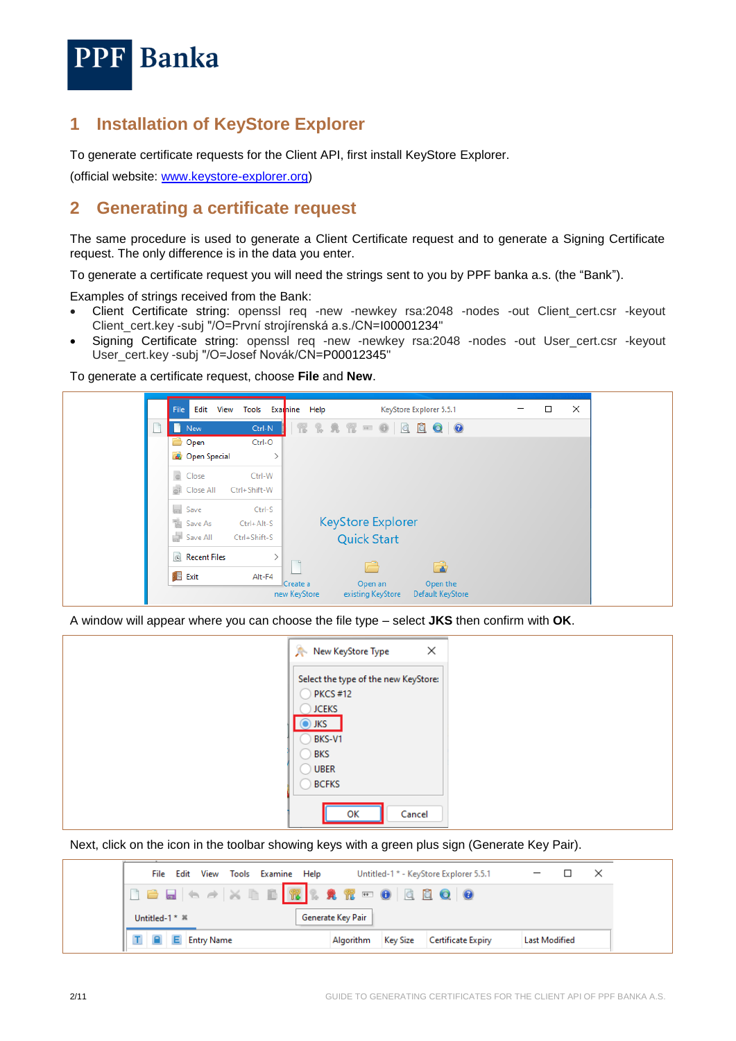

### <span id="page-1-0"></span>**1 Installation of KeyStore Explorer**

To generate certificate requests for the Client API, first install KeyStore Explorer.

(official website: [www.keystore-explorer.org\)](https://keystore-explorer.org/)

### <span id="page-1-1"></span>**2 Generating a certificate request**

The same procedure is used to generate a Client Certificate request and to generate a Signing Certificate request. The only difference is in the data you enter.

To generate a certificate request you will need the strings sent to you by PPF banka a.s. (the "Bank").

Examples of strings received from the Bank:

- Client Certificate string: openssl req -new -newkey rsa:2048 -nodes -out Client\_cert.csr -keyout Client\_cert.key -subj "/O=První strojírenská a.s./CN=I00001234"
- Signing Certificate string: openssl req -new -newkey rsa:2048 -nodes -out User\_cert.csr -keyout User\_cert.key -subj "/O=Josef Novák/CN=P00012345"

To generate a certificate request, choose **File** and **New**.

| File<br>Edit<br>View        | Tools Examine Help |                          |                              | KeyStore Explorer 5.5.1      |  | $\times$ |
|-----------------------------|--------------------|--------------------------|------------------------------|------------------------------|--|----------|
| n<br>New                    | Ctrl-N             |                          | $R R R R = 0   Q Q   Q$      |                              |  |          |
| Open                        | Ctrl-O             |                          |                              |                              |  |          |
| <b>Company</b> Open Special |                    |                          |                              |                              |  |          |
| $\circ$ Close               | Ctrl-W             |                          |                              |                              |  |          |
| <b>Close All</b>            | Ctrl+Shift-W       |                          |                              |                              |  |          |
| $\Box$ Save                 | Ctrl-S             |                          |                              |                              |  |          |
| Save As                     | Ctrl+Alt-S         |                          | <b>KeyStore Explorer</b>     |                              |  |          |
| Save All                    | Ctrl+Shift-S       |                          | <b>Quick Start</b>           |                              |  |          |
| <b>B</b> Recent Files       |                    |                          |                              |                              |  |          |
| <b>B</b> Exit               | Alt-F4             |                          |                              |                              |  |          |
|                             |                    | Create a<br>new KeyStore | Open an<br>existing KeyStore | Open the<br>Default KeyStore |  |          |

A window will appear where you can choose the file type – select **JKS** then confirm with **OK**.

| ×<br>New KeyStore Type                                                                                             |
|--------------------------------------------------------------------------------------------------------------------|
| Select the type of the new KeyStore:<br>$\bigcirc$ PKCS #12<br><b>JCEKS</b><br>$\odot$ JKS<br>BKS-V1<br><b>BKS</b> |
| <b>UBER</b><br><b>BCFKS</b><br>Cancel<br>OK                                                                        |

Next, click on the icon in the toolbar showing keys with a green plus sign (Generate Key Pair).

| File Edit View Tools Examine Help |                   |           |                 | Untitled-1 * - KeyStore Explorer 5.5.1 |                      |  |
|-----------------------------------|-------------------|-----------|-----------------|----------------------------------------|----------------------|--|
|                                   |                   |           |                 |                                        |                      |  |
| Untitled-1* *                     | Generate Key Pair |           |                 |                                        |                      |  |
| <b>Entry Name</b>                 |                   | Algorithm | <b>Key Size</b> | Certificate Expiry                     | <b>Last Modified</b> |  |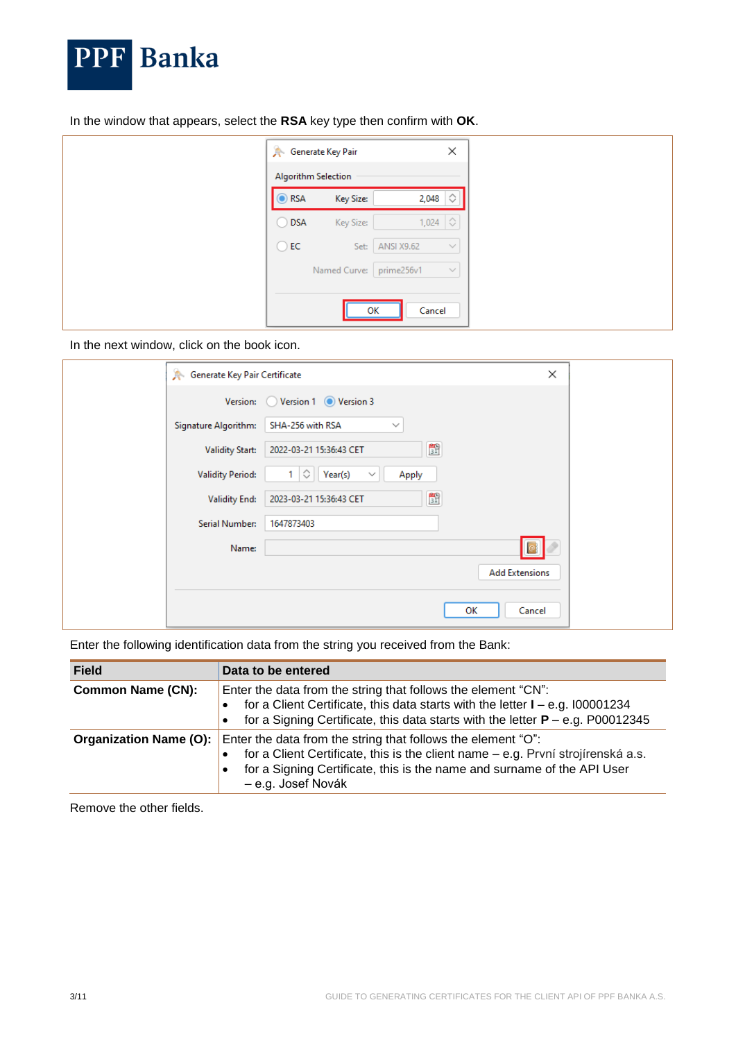

In the window that appears, select the **RSA** key type then confirm with **OK**.

|                | <b>Generate Key Pair</b> |                   | ×            |
|----------------|--------------------------|-------------------|--------------|
|                | Algorithm Selection      |                   |              |
| $\odot$ RSA    | Key Size:                | 2,048 $\Diamond$  |              |
| $\bigcirc$ DSA | Key Size:                | $1,024$ $\circ$   |              |
| $\bigcirc$ EC  | Set:                     | <b>ANSI X9.62</b> | $\checkmark$ |
|                | Named Curve: prime256v1  |                   | $\checkmark$ |
|                |                          |                   |              |
|                |                          | Cancel<br>ОК      |              |

In the next window, click on the book icon.

| <b>Generate Key Pair Certificate</b> | $\times$                                                                |
|--------------------------------------|-------------------------------------------------------------------------|
|                                      | Version: Version 1 O Version 3                                          |
| Signature Algorithm:                 | SHA-256 with RSA<br>$\checkmark$                                        |
| <b>Validity Start:</b>               | 野<br>2022-03-21 15:36:43 CET                                            |
| <b>Validity Period:</b>              | ♦<br>$\sqrt{\text{Year(s)}}$<br>Apply<br>1 <sup>1</sup><br>$\checkmark$ |
| <b>Validity End:</b>                 | 野<br>2023-03-21 15:36:43 CET                                            |
| Serial Number:                       | 1647873403                                                              |
| Name:                                |                                                                         |
|                                      | <b>Add Extensions</b>                                                   |
|                                      | Cancel<br>OК                                                            |

Enter the following identification data from the string you received from the Bank:

| <b>Field</b>                  | Data to be entered                                                                                                                                                                                                                                |
|-------------------------------|---------------------------------------------------------------------------------------------------------------------------------------------------------------------------------------------------------------------------------------------------|
| <b>Common Name (CN):</b>      | Enter the data from the string that follows the element "CN":<br>for a Client Certificate, this data starts with the letter $I - e.g. 100001234$<br>for a Signing Certificate, this data starts with the letter $P - e.g. P00012345$<br>$\bullet$ |
| <b>Organization Name (O):</b> | Enter the data from the string that follows the element "O":<br>for a Client Certificate, this is the client name - e.g. První strojírenská a.s.<br>for a Signing Certificate, this is the name and surname of the API User<br>- e.g. Josef Novák |

Remove the other fields.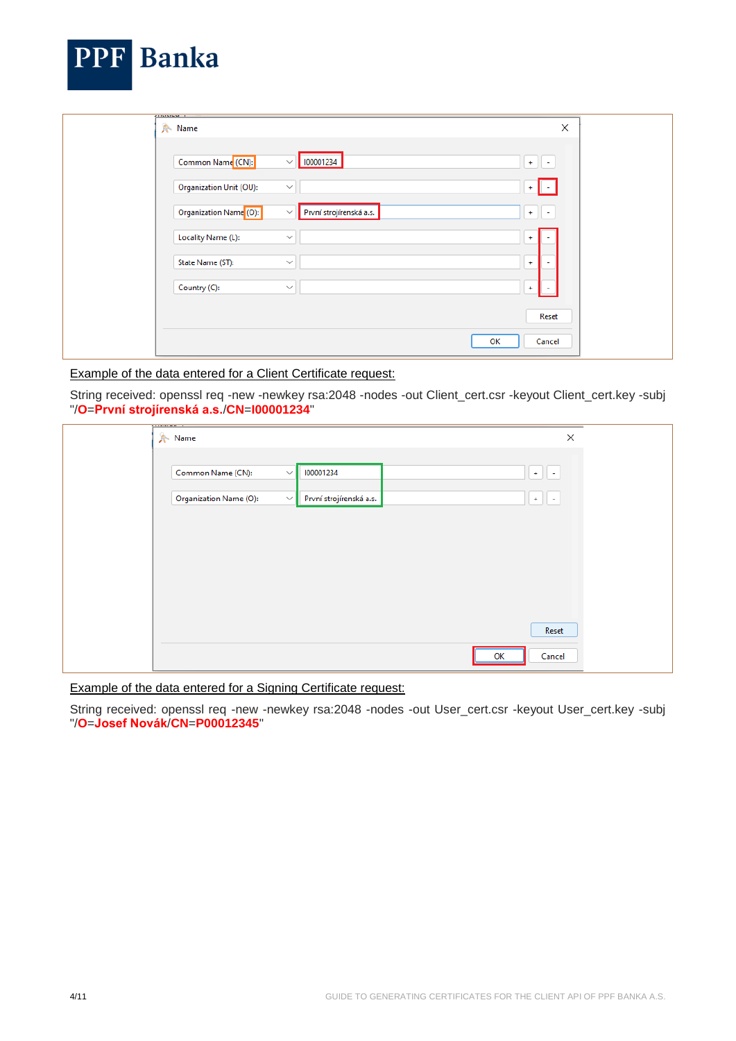| Name                                                                         | $\times$  |
|------------------------------------------------------------------------------|-----------|
| Common Name <sup>(CN)</sup> :<br>100001234<br>$\checkmark$                   | $+$<br>H. |
| Organization Unit (OU):<br>$\checkmark$                                      |           |
| Organization Name <sup>(O):</sup><br>První strojírenská a.s.<br>$\checkmark$ | $+$       |
| Locality Name (L):<br>$\checkmark$                                           | ÷         |
| State Name (ST):<br>$\checkmark$                                             | $\ddot{}$ |
| Country (C):<br>$\checkmark$                                                 | $\ddot{}$ |

Example of the data entered for a Client Certificate request:

**DDD** D

 $\blacksquare$ 

String received: openssl req -new -newkey rsa:2048 -nodes -out Client\_cert.csr -keyout Client\_cert.key -subj "/**O**=**První strojírenská a.s.**/**CN**=**I00001234**"

| <b>A</b> Name                          |                         | ×            |
|----------------------------------------|-------------------------|--------------|
| Common Name (CN):<br>$\checkmark$      | 100001234               | $+$ $+$      |
| Organization Name (O):<br>$\checkmark$ | První strojírenská a.s. | $+$ $+$      |
|                                        |                         |              |
|                                        |                         |              |
|                                        |                         |              |
|                                        |                         |              |
|                                        |                         | Reset        |
|                                        |                         | Cancel<br>ок |

Example of the data entered for a Signing Certificate request:

String received: openssl req -new -newkey rsa:2048 -nodes -out User\_cert.csr -keyout User\_cert.key -subj "/**O**=**Josef Novák**/**CN**=**P00012345**"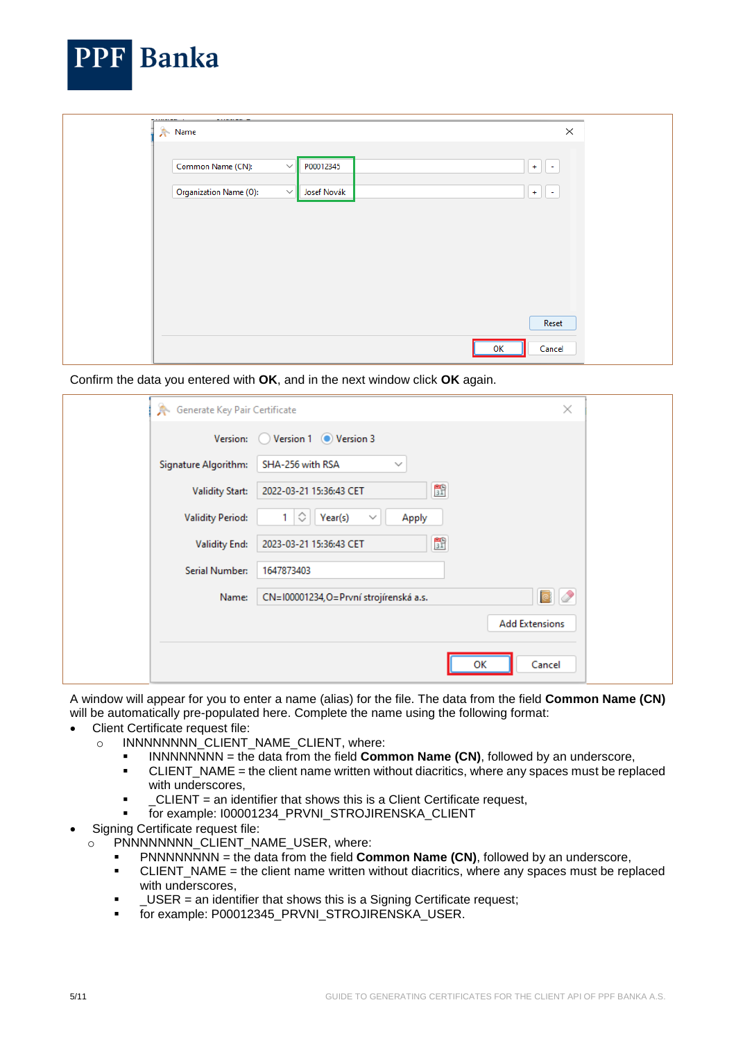| Common Name (CN):      | P00012345<br>$\checkmark$   | $+$ $+$     |
|------------------------|-----------------------------|-------------|
| Organization Name (O): | $\checkmark$<br>Josef Novák | $\pm$<br>H. |
|                        |                             |             |
|                        |                             |             |
|                        |                             |             |

Confirm the data you entered with **OK**, and in the next window click **OK** again.

| Generate Key Pair Certificate |                                                      | ×                     |
|-------------------------------|------------------------------------------------------|-----------------------|
| Version: 0                    | Version 1 Version 3                                  |                       |
| Signature Algorithm:          | SHA-256 with RSA<br>$\checkmark$                     |                       |
| <b>Validity Start:</b>        | 野<br>2022-03-21 15:36:43 CET                         |                       |
| <b>Validity Period:</b>       | $\Diamond$<br>1.<br>Year(s)<br>Apply<br>$\checkmark$ |                       |
| <b>Validity End:</b>          | 野<br>2023-03-21 15:36:43 CET                         |                       |
| Serial Number:                | 1647873403                                           |                       |
| Name:                         | CN=100001234,O=První strojírenská a.s.               | $\bullet$ $\circ$     |
|                               |                                                      | <b>Add Extensions</b> |
|                               |                                                      |                       |
|                               | ОΚ                                                   | Cancel                |

A window will appear for you to enter a name (alias) for the file. The data from the field **Common Name (CN)** will be automatically pre-populated here. Complete the name using the following format:

- Client Certificate request file:
	- o INNNNNNNN\_CLIENT\_NAME\_CLIENT, where:
		- INNNNNNNN = the data from the field **Common Name (CN)**, followed by an underscore,
		- CLIENT\_NAME = the client name written without diacritics, where any spaces must be replaced with underscores,
		- \_CLIENT = an identifier that shows this is a Client Certificate request,
		- for example: I00001234\_PRVNI\_STROJIRENSKA\_CLIENT
- Signing Certificate request file:
	- o PNNNNNNNNN CLIENT NAME USER, where:
		- PNNNNNNNN = the data from the field **Common Name (CN)**, followed by an underscore,
		- CLIENT\_NAME = the client name written without diacritics, where any spaces must be replaced with underscores,
		- \_USER = an identifier that shows this is a Signing Certificate request;
		- for example: P00012345\_PRVNI\_STROJIRENSKA\_USER.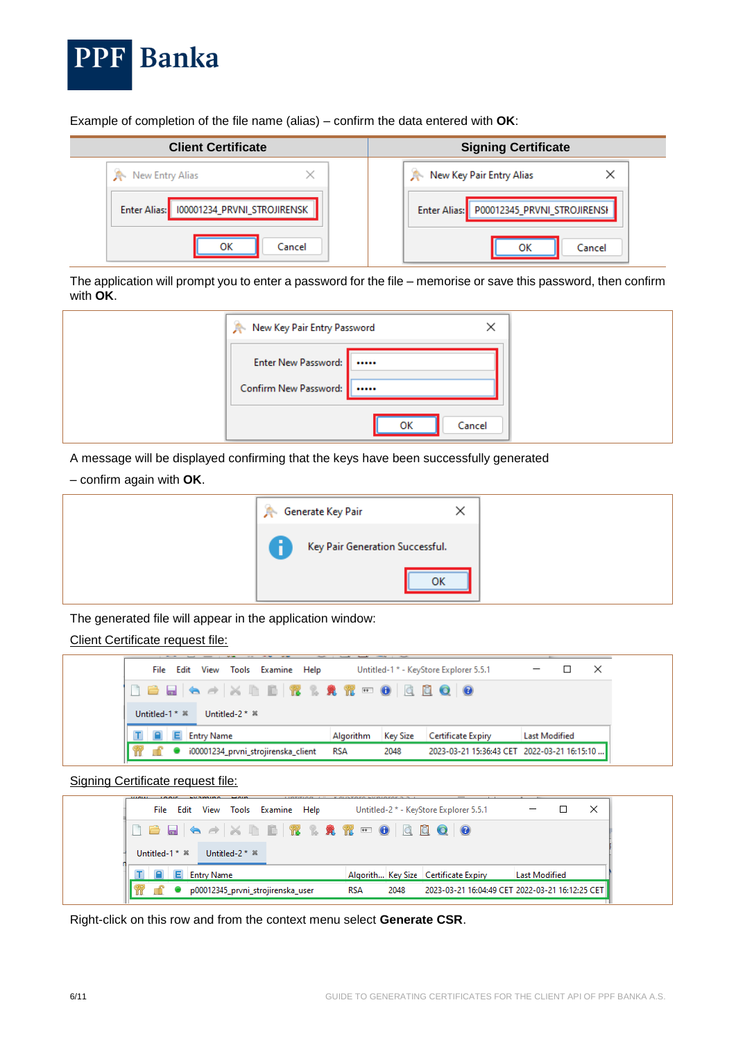

I

Example of completion of the file name (alias) – confirm the data entered with **OK**:

| <b>Client Certificate</b>                | <b>Signing Certificate</b>               |
|------------------------------------------|------------------------------------------|
| New Entry Alias                          | New Key Pair Entry Alias                 |
| Enter Alias: 100001234_PRVNI_STROJIRENSK | Enter Alias: P00012345_PRVNI_STROJIRENSH |
| ок<br>Cancel                             | Cancel<br>ок                             |

The application will prompt you to enter a password for the file – memorise or save this password, then confirm with **OK**.

| New Key Pair Entry Password<br>$\times$        |
|------------------------------------------------|
| Enter New Password:  <br>Confirm New Password: |
| ОΚ<br>Cancel                                   |

A message will be displayed confirming that the keys have been successfully generated

#### – confirm again with **OK**.

| Key Pair Generation Successful.<br>OK |
|---------------------------------------|

The generated file will appear in the application window:

Client Certificate request file:

| View Tools Examine Help<br>File Edit |           |                 | Untitled-1 * - KeyStore Explorer 5.5.1      |                      | $\times$ |
|--------------------------------------|-----------|-----------------|---------------------------------------------|----------------------|----------|
|                                      |           |                 |                                             |                      |          |
| Untitled-1 $*$ $*$<br>Untitled-2 * * |           |                 |                                             |                      |          |
| <b>Entry Name</b>                    | Algorithm | <b>Key Size</b> | Certificate Expiry                          | <b>Last Modified</b> |          |
| i00001234_prvni_strojirenska_client  | RSA       | 2048            | 2023-03-21 15:36:43 CET 2022-03-21 16:15:10 |                      |          |

Signing Certificate request file:

| <b>LOADS</b><br>1000000<br>File Edit | <b>MACHINEERS</b><br><b>STATISTICS</b><br>View<br>Tools | LIBTITION AT KOMATORO WHOLOSOF B.B.<br>Examine<br>Help |            |      | _<br>--<br>Untitled-2 * - KeyStore Explorer 5.5.1 |                      |  |
|--------------------------------------|---------------------------------------------------------|--------------------------------------------------------|------------|------|---------------------------------------------------|----------------------|--|
|                                      |                                                         |                                                        |            |      |                                                   |                      |  |
| Untitled-1 $*$ $*$                   | Untitled-2 * &                                          |                                                        |            |      |                                                   |                      |  |
|                                      | <b>Entry Name</b>                                       |                                                        |            |      | Algorith Key Size   Certificate Expiry            | <b>Last Modified</b> |  |
|                                      | p00012345_prvni_strojirenska_user                       |                                                        | <b>RSA</b> | 2048 | 2023-03-21 16:04:49 CET 2022-03-21 16:12:25 CET   |                      |  |

Right-click on this row and from the context menu select **Generate CSR**.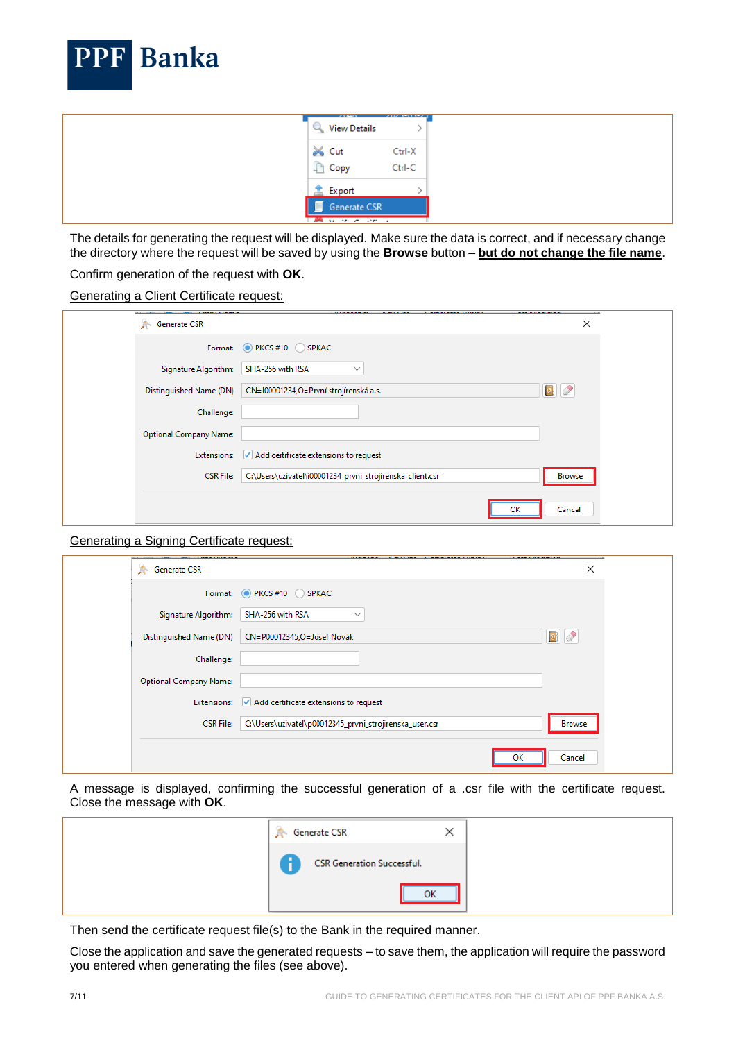

| $\bowtie$ Cut<br>Ctrl-X<br>Copy<br>Ctrl-C<br>盒 Export | F<br>Generate CSR | 2012/03/23<br><b>View Details</b><br>y. | __________ |
|-------------------------------------------------------|-------------------|-----------------------------------------|------------|
|                                                       |                   |                                         |            |
|                                                       |                   |                                         |            |

The details for generating the request will be displayed. Make sure the data is correct, and if necessary change the directory where the request will be saved by using the **Browse** button – **but do not change the file name**.

#### Confirm generation of the request with **OK**.

| Generating a Client Certificate request: |  |  |  |
|------------------------------------------|--|--|--|
|                                          |  |  |  |

| Format: O PKCS #10 SPKAC<br>SHA-256 with RSA<br>Signature Algorithm:<br>$\checkmark$<br>$\bullet$<br>Distinguished Name (DN)<br>CN=100001234,O=První strojírenská a.s.<br>Challenge:<br><b>Optional Company Name:</b><br>$\checkmark$ Add certificate extensions to request<br><b>Extensions:</b><br>C:\Users\uzivatel\i00001234_prvni_strojirenska_client.csr<br><b>CSR File:</b><br>Browse | Generate CSR | × |
|----------------------------------------------------------------------------------------------------------------------------------------------------------------------------------------------------------------------------------------------------------------------------------------------------------------------------------------------------------------------------------------------|--------------|---|
|                                                                                                                                                                                                                                                                                                                                                                                              |              |   |
|                                                                                                                                                                                                                                                                                                                                                                                              |              |   |
|                                                                                                                                                                                                                                                                                                                                                                                              |              |   |
|                                                                                                                                                                                                                                                                                                                                                                                              |              |   |
|                                                                                                                                                                                                                                                                                                                                                                                              |              |   |
|                                                                                                                                                                                                                                                                                                                                                                                              |              |   |
|                                                                                                                                                                                                                                                                                                                                                                                              |              |   |
| Cancel                                                                                                                                                                                                                                                                                                                                                                                       |              |   |

#### Generating a Signing Certificate request:

|                               | .                                                       |               |
|-------------------------------|---------------------------------------------------------|---------------|
| Generate CSR                  |                                                         | ×             |
|                               | Format: PKCS#10 SPKAC                                   |               |
| Signature Algorithm:          | SHA-256 with RSA<br>$\checkmark$                        |               |
| Distinguished Name (DN)       | CN=P00012345,O=Josef Novák                              | $\bullet$     |
| Challenge:                    |                                                         |               |
| <b>Optional Company Name:</b> |                                                         |               |
| <b>Extensions:</b>            | $\sqrt{}$ Add certificate extensions to request         |               |
| <b>CSR File:</b>              | C:\Users\uzivatel\p00012345_prvni_strojirenska_user.csr | <b>Browse</b> |
|                               |                                                         |               |
|                               |                                                         | Cancel<br>ок  |

A message is displayed, confirming the successful generation of a .csr file with the certificate request. Close the message with **OK**.

| <b>Generate CSR</b><br>Ж          |  |
|-----------------------------------|--|
| <b>CSR Generation Successful.</b> |  |
| OK                                |  |

Then send the certificate request file(s) to the Bank in the required manner.

Close the application and save the generated requests – to save them, the application will require the password you entered when generating the files (see above).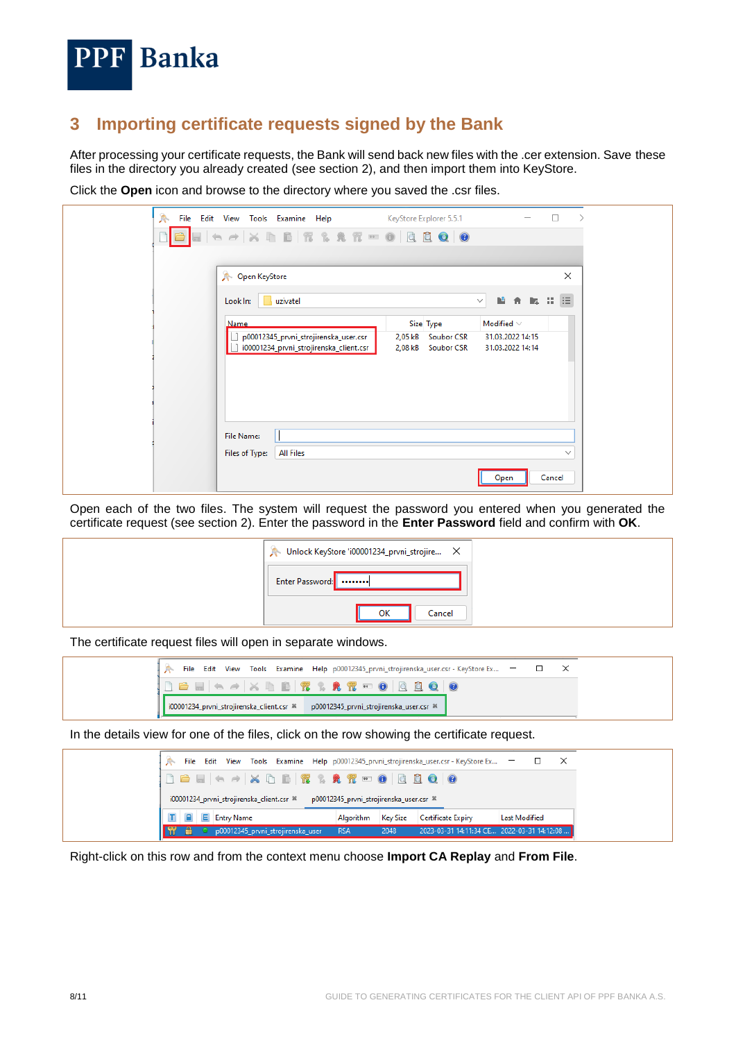

## <span id="page-7-0"></span>**3 Importing certificate requests signed by the Bank**

After processing your certificate requests, the Bank will send back new files with the .cer extension. Save these files in the directory you already created (see section 2), and then import them into KeyStore.

Click the **Open** icon and browse to the directory where you saved the .csr files.

| 糸                    | File Edit View Tools Examine Help MeyStore Explorer 5.5.1 |                              | the contract of the contract of | $\Box$<br>↘  |
|----------------------|-----------------------------------------------------------|------------------------------|---------------------------------|--------------|
|                      |                                                           |                              |                                 |              |
|                      |                                                           |                              |                                 |              |
| <b>Open KeyStore</b> |                                                           |                              |                                 | $\times$     |
| Look In:             | uzivatel                                                  |                              | 植香属非圆<br>$\checkmark$           |              |
| <b>Name</b>          |                                                           | Size Type                    | Modified $\vee$                 |              |
|                      | p00012345_prvni_strojirenska_user.csr                     | 2,05 kB<br><b>Soubor CSR</b> | 31.03.2022 14:15                |              |
|                      | i00001234_prvni_strojirenska_client.csr                   | 2,08 kB<br><b>Soubor CSR</b> | 31.03.2022 14:14                |              |
|                      |                                                           |                              |                                 |              |
|                      |                                                           |                              |                                 |              |
|                      |                                                           |                              |                                 |              |
|                      |                                                           |                              |                                 |              |
| <b>File Name:</b>    |                                                           |                              |                                 |              |
| Files of Type:       | <b>All Files</b>                                          |                              |                                 | $\checkmark$ |
|                      |                                                           |                              | Open                            | Cancel       |

Open each of the two files. The system will request the password you entered when you generated the certificate request (see section 2). Enter the password in the **Enter Password** field and confirm with **OK**.

| Unlock KeyStore 'i00001234_prvni_strojire X |
|---------------------------------------------|
| Enter Password:                             |
| OK<br>Cancel                                |

The certificate request files will open in separate windows.

| File Edit View Tools Examine Help p00012345_prvni_strojirenska_user.csr - KeyStore Ex - - - - - - X |  |  |
|-----------------------------------------------------------------------------------------------------|--|--|
|                                                                                                     |  |  |
| 100001234_prvni_strojirenska_client.csr * p00012345_prvni_strojirenska_user.csr *                   |  |  |

In the details view for one of the files, click on the row showing the certificate request.

|  |  |                   |                                           |                                   |                                                    |                 | File Edit View Tools Examine Help p00012345_prvni_strojirenska_user.csr - KeyStore Ex - |                      | □ | $\mathsf{X}$ |
|--|--|-------------------|-------------------------------------------|-----------------------------------|----------------------------------------------------|-----------------|-----------------------------------------------------------------------------------------|----------------------|---|--------------|
|  |  |                   |                                           |                                   |                                                    |                 |                                                                                         |                      |   |              |
|  |  |                   | i00001234 prvni strojirenska client.csr ® |                                   | p00012345_prvni_strojirenska_user.csr <sup>%</sup> |                 |                                                                                         |                      |   |              |
|  |  | <b>Entry Name</b> |                                           |                                   | Algorithm                                          | <b>Key Size</b> | Certificate Expiry                                                                      | <b>Last Modified</b> |   |              |
|  |  |                   |                                           | p00012345_prvni_strojirenska_user | <b>RSA</b>                                         | 2048            | 2023-03-31 14:11:34 CE 2022-03-31 14:12:08                                              |                      |   |              |

Right-click on this row and from the context menu choose **Import CA Replay** and **From File**.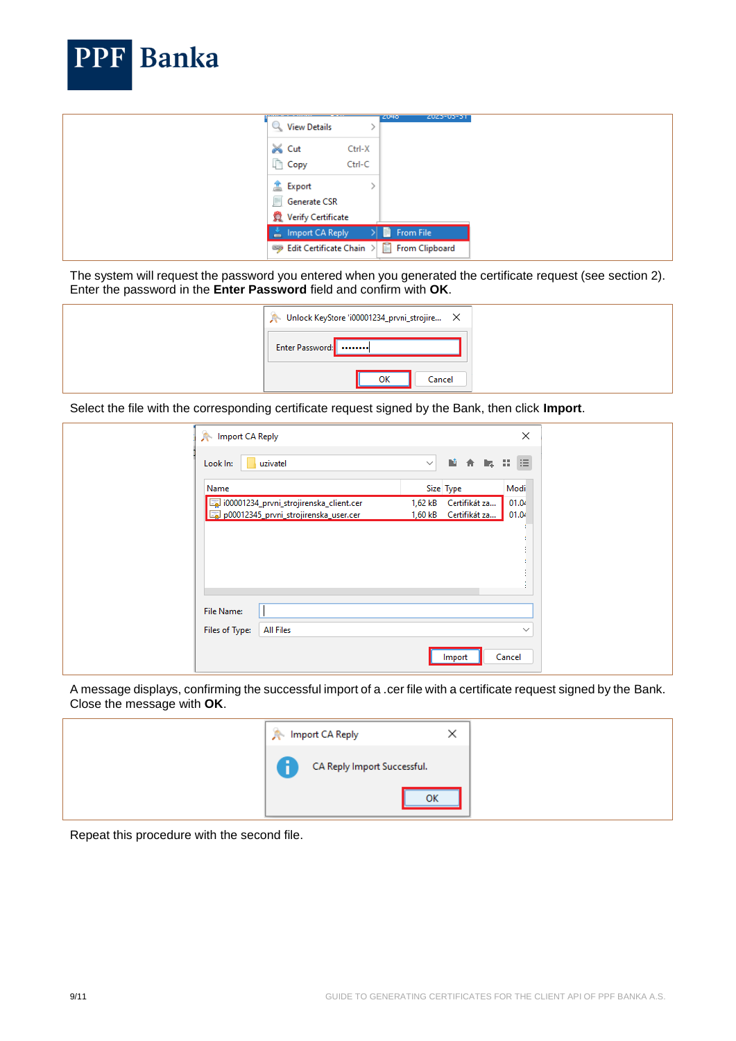

The system will request the password you entered when you generated the certificate request (see section 2). Enter the password in the **Enter Password** field and confirm with **OK**.

| Unlock KeyStore 'i00001234_prvni_strojire X |  |
|---------------------------------------------|--|
| Enter Password:                             |  |
| ок<br>Cancel                                |  |

Select the file with the corresponding certificate request signed by the Bank, then click **Import**.

| <b>A</b> Import CA Reply     |                                                                                  |              |                                        | ×                                         |
|------------------------------|----------------------------------------------------------------------------------|--------------|----------------------------------------|-------------------------------------------|
| Look In:                     | uzivatel                                                                         | $\checkmark$ | 随合胸                                    | $\mathbb{R}^n$ is $\mathbb{R}^n$          |
| Name                         |                                                                                  |              | Size Type                              | Modi                                      |
|                              | i00001234_prvni_strojirenska_client.cer<br>p00012345_prvni_strojirenska_user.cer | 1,62 kB      | Certifikát za<br>1,60 kB Certifikát za | 01.04<br>01.04<br>$\mathbf{r}$<br>$\cdot$ |
| File Name:<br>Files of Type: | <b>All Files</b>                                                                 |              |                                        | $\checkmark$                              |
|                              |                                                                                  |              | Import                                 | Cancel                                    |

A message displays, confirming the successful import of a .cer file with a certificate request signed by the Bank. Close the message with **OK**.

| Import CA Reply<br>ж        |  |
|-----------------------------|--|
| CA Reply Import Successful. |  |
| OK                          |  |

Repeat this procedure with the second file.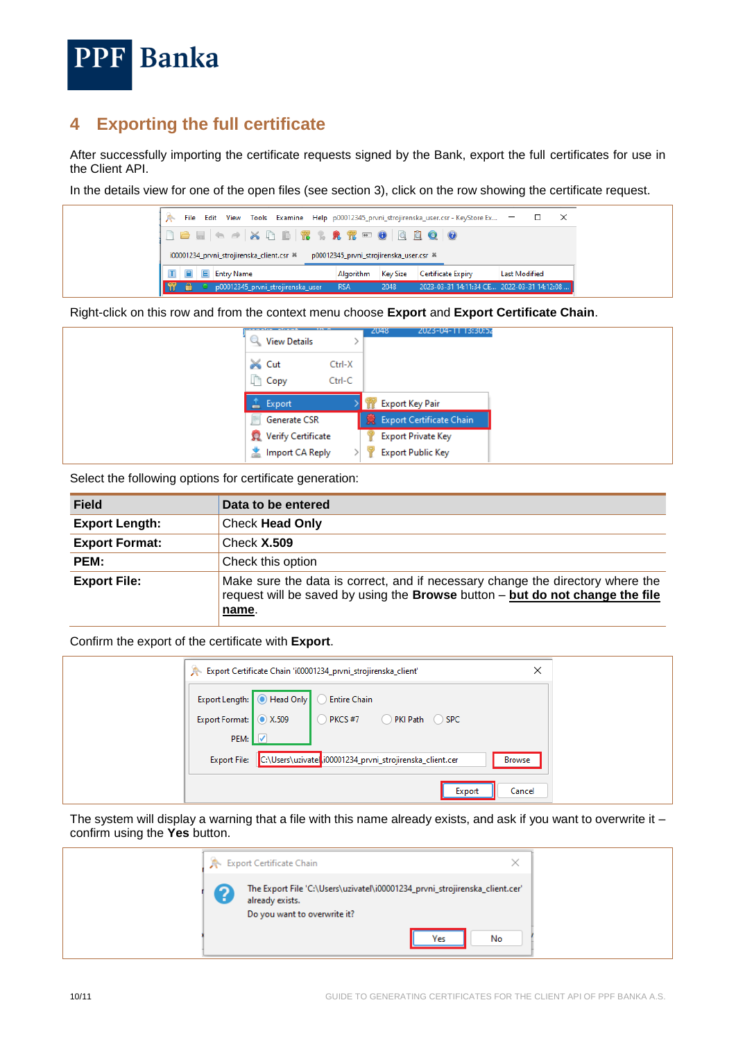

### <span id="page-9-0"></span>**4 Exporting the full certificate**

After successfully importing the certificate requests signed by the Bank, export the full certificates for use in the Client API.

In the details view for one of the open files (see section 3), click on the row showing the certificate request.



Right-click on this row and from the context menu choose **Export** and **Export Certificate Chain**.

| <b>View Details</b>     |                  | 2023-04-11 13:30:52<br>2048 |  |
|-------------------------|------------------|-----------------------------|--|
| iiiX Cut<br><b>Copy</b> | Ctrl-X<br>Ctrl-C |                             |  |
| Export<br>-             |                  | <b>Export Key Pair</b>      |  |
| Generate CSR<br>₽       |                  | 蒙 Export Certificate Chain  |  |
| Verify Certificate      |                  | <b>Export Private Key</b>   |  |
| ■ Import CA Reply       |                  | <b>Export Public Key</b>    |  |

Select the following options for certificate generation:

| <b>Field</b>          | Data to be entered                                                                                                                                                       |
|-----------------------|--------------------------------------------------------------------------------------------------------------------------------------------------------------------------|
| <b>Export Length:</b> | <b>Check Head Only</b>                                                                                                                                                   |
| <b>Export Format:</b> | Check $X.509$                                                                                                                                                            |
| PEM:                  | Check this option                                                                                                                                                        |
| <b>Export File:</b>   | Make sure the data is correct, and if necessary change the directory where the<br>request will be saved by using the Browse button - but do not change the file<br>name. |

Confirm the export of the certificate with **Export**.

|                        | ×<br>Export Certificate Chain 'i00001234_prvni_strojirenska_client' |               |  |  |  |  |  |  |
|------------------------|---------------------------------------------------------------------|---------------|--|--|--|--|--|--|
|                        | Export Length: <b>O</b> Head Only<br><b>Entire Chain</b>            |               |  |  |  |  |  |  |
| Export Format: 3 X.509 | $\bigcirc$ PKCS #7<br>PKI Path SPC                                  |               |  |  |  |  |  |  |
| PEM:                   |                                                                     |               |  |  |  |  |  |  |
| <b>Export File:</b>    | C:\Users\uzivatela.i00001234_prvni_strojirenska_client.cer          | <b>Browse</b> |  |  |  |  |  |  |
|                        | Export                                                              | Cancel        |  |  |  |  |  |  |

The system will display a warning that a file with this name already exists, and ask if you want to overwrite it  $$ confirm using the **Yes** button.